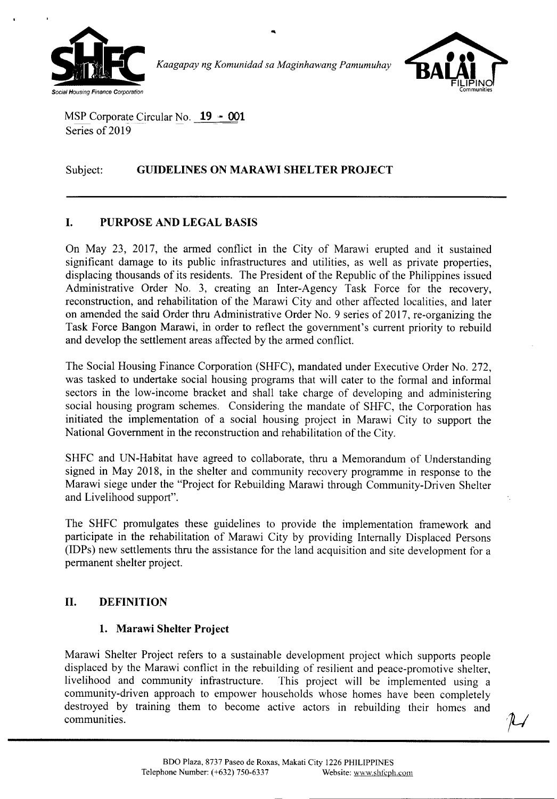

*Kaagapay ng Komunidad sa Maginhawang Pamumuhay*



MSP Corporate Circular No. **19 - 001** Series of 2019

# Subject: **GUIDELINES ON MARA WI SHELTER PROJECT**

# **I. PURPOSE AND LEGAL BASIS**

On May 23, 2017, the armed conflict in the City of Marawi erupted and it sustained significant damage to its public infrastructures and utilities, as well as private properties, displacing thousands of its residents. The President of the Republic of the Philippines issued Administrative Order No.3, creating an Inter-Agency Task Force for the recovery, reconstruction, and rehabilitation of the Marawi City and other affected localities, and later on amended the said Order thru Administrative Order No.9 series of 2017, re-organizing the Task Force Bangon Marawi, in order to reflect the government's current priority to rebuild and develop the settlement areas affected by the armed conflict.

The Social Housing Finance Corporation (SHFC), mandated under Executive Order No. 272, was tasked to undertake social housing programs that will cater to the formal and informal sectors in the low-income bracket and shall take charge of developing and administering social housing program schemes. Considering the mandate of SHFC, the Corporation has initiated the implementation of a social housing project in Marawi City to support the National Government in the reconstruction and rehabilitation of the City.

SHFC and UN-Habitat have agreed to collaborate, thru a Memorandum of Understanding signed in May 2018, in the shelter and community recovery programme in response to the Marawi siege under the "Project for Rebuilding Marawi through Community-Driven Shelter and Livelihood support".

The SHFC promulgates these guidelines to provide the implementation framework and participate in the rehabilitation of Marawi City by providing Internally Displaced Persons (IDPs) new settlements thru the assistance for the land acquisition and site development for a permanent shelter project.

## **II. DEFINITION**

## **1. Marawi Shelter Project**

Marawi Shelter Project refers to a sustainable development project which supports people displaced by the Marawi conflict in the rebuilding of resilient and peace-promotive shelter, livelihood and community infrastructure. This project will be implemented using a community-driven approach to empower households whose homes have been completely destroyed by training them to become active actors in rebuilding their homes and  $\mathcal{I}$  communities.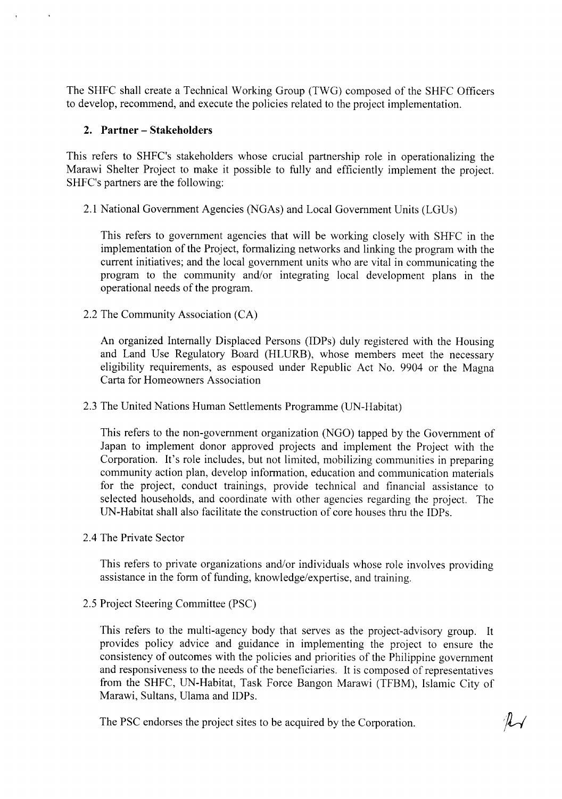The SHFC shall create a Technical Working Group (TWG) composed of the SHFC Officers to develop, recommend, and execute the policies related to the project implementation.

### **2. Partner - Stakeholders**

This refers to SHFC's stakeholders whose crucial partnership role in operationalizing the Marawi Shelter Project to make it possible to fully and efficiently implement the project. SHFC's partners are the following:

2.1 National Government Agencies (NGAs) and Local Government Units (LGUs)

This refers to government agencies that will be working closely with SHFC in the implementation of the Project, formalizing networks and linking the program with the current initiatives; and the local government units who are vital in communicating the program to the community and/or integrating local development plans in the operational needs of the program.

2.2 The Community Association (CA)

An organized Internally Displaced Persons (IDPs) duly registered with the Housing and Land Use Regulatory Board (HLURB), whose members meet the necessary eligibility requirements, as espoused under Republic Act No. 9904 or the Magna Carta for Homeowners Association

2.3 The United Nations Human Settlements Programme (UN-Habitat)

This refers to the non-government organization (NGO) tapped by the Government of Japan to implement donor approved projects and implement the Project with the Corporation. It's role includes, but not limited, mobilizing communities in preparing community action plan, develop information, education and communication materials for the project, conduct trainings, provide technical and financial assistance to selected households, and coordinate with other agencies regarding the project. The UN-Habitat shall also facilitate the construction of core houses thru the IDPs.

2.4 The Private Sector

This refers to private organizations and/or individuals whose role involves providing assistance in the form of funding, knowledge/expertise, and training.

2.5 Project Steering Committee (PSC)

This refers to the multi-agency body that serves as the project-advisory group. It provides policy advice and guidance in implementing the project to ensure the consistency of outcomes with the policies and priorities of the Philippine government and responsiveness to the needs of the beneficiaries. It is composed of representatives from the SHFC, UN-Habitat, Task Force Bangon Marawi (TFBM), Islamic City of Marawi, Sultans, Ulama and IDPs.

The PSC endorses the project sites to be acquired by the Corporation.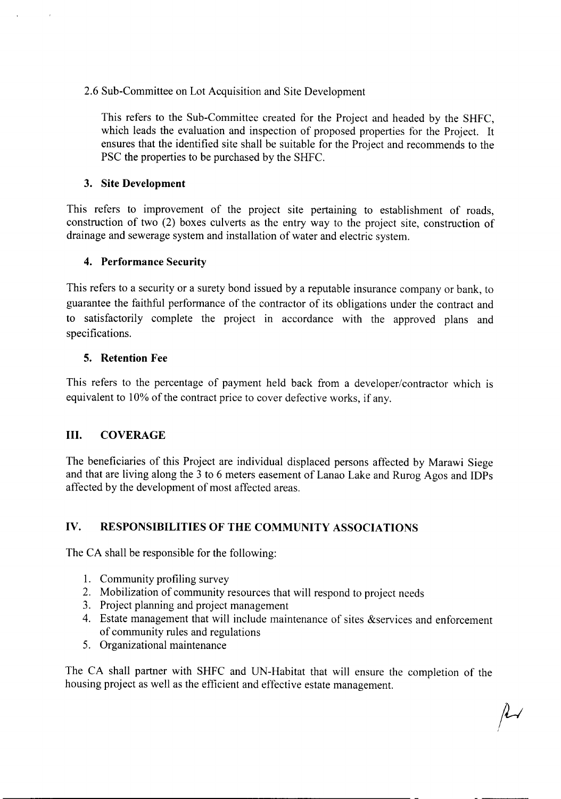## 2.6 Sub-Committee on Lot Acquisition and Site Development

This refers to the Sub-Committee created for the Project and headed by the SHFC, which leads the evaluation and inspection of proposed properties for the Project. It ensures that the identified site shall be suitable for the Project and recommends to the PSC the properties to be purchased by the SHFC.

## **3. Site Development**

This refers to improvement of the project site pertaming to establishment of roads, construction of two (2) boxes culverts as the entry way to the project site, construction of drainage and sewerage system and installation of water and electric system.

## **4. Performance Security**

This refers to a security or a surety bond issued by a reputable insurance company or bank, to guarantee the faithful performance of the contractor of its obligations under the contract and to satisfactorily complete the project in accordance with the approved plans and specifications.

## **5. Retention Fee**

This refers to the percentage of payment held back from a developer/contractor which is equivalent to 10% of the contract price to cover defective works, if any.

## **III. COVERAGE**

The beneficiaries of this Project are individual displaced persons affected by Marawi Siege and that are living along the 3 to 6 meters easement of Lanao Lake and Rurog Agos and IDPs affected by the development of most affected areas.

# **IV. RESPONSIBILITIES OF THE COMMUNITY ASSOCIATIONS**

The CA shall be responsible for the following:

- I. Community profiling survey
- 2. Mobilization of community resources that will respond to project needs
- 3. Project planning and project management
- 4. Estate management that will include maintenance of sites &services and enforcement of community rules and regulations
- 5. Organizational maintenance

The CA shall partner with SHFC and UN-Habitat that will ensure the completion of the housing project as well as the efficient and effective estate management.

 $\mu$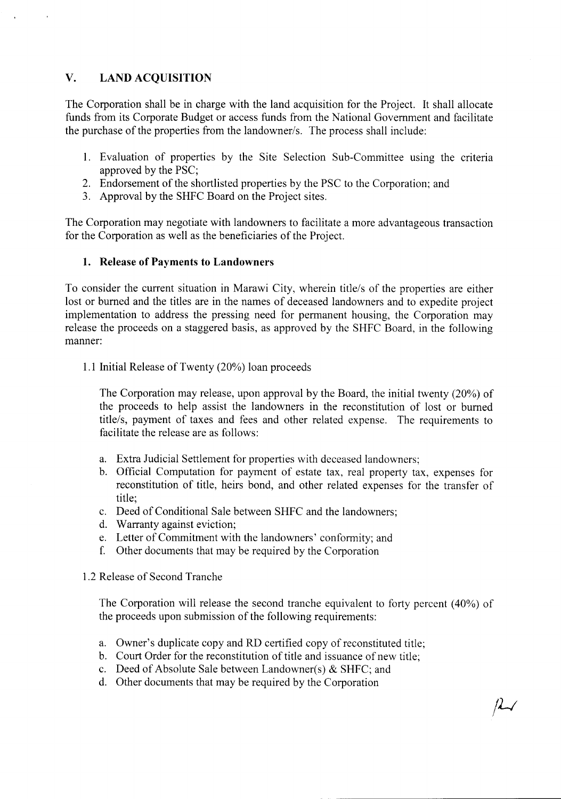## **V. LAND ACQUISITION**

The Corporation shall be in charge with the land acquisition for the Project. It shall allocate funds from its Corporate Budget or access funds from the National Government and facilitate the purchase of the properties from the landowner/s. The process shall include:

- 1. Evaluation of properties by the Site Selection Sub-Committee using the criteria approved by the PSC;
- 2. Endorsement of the shortlisted properties by the PSC to the Corporation; and
- 3. Approval by the SHFC Board on the Project sites.

The Corporation may negotiate with landowners to facilitate a more advantageous transaction for the Corporation as well as the beneficiaries of the Project.

#### **1. Release of Payments to Landowners**

To consider the current situation in Marawi City, wherein title/s of the properties are either lost or burned and the titles are in the names of deceased landowners and to expedite project implementation to address the pressing need for permanent housing, the Corporation may release the proceeds on a staggered basis, as approved by the SHFC Board, in the following manner:

1.1 Initial Release of Twenty (20%) loan proceeds

The Corporation may release, upon approval by the Board, the initial twenty (20%) of the proceeds to help assist the landowners in the reconstitution of lost or burned title/s, payment of taxes and fees and other related expense. The requirements to facilitate the release are as follows:

- a. Extra Judicial Settlement for properties with deceased landowners;
- b. Official Computation for payment of estate tax, real property tax, expenses for reconstitution of title, heirs bond, and other related expenses for the transfer of title;
- C. Deed of Conditional Sale between SHFC and the landowners;
- d. Warranty against eviction;
- e. Letter of Commitment with the landowners' conformity; and
- f. Other documents that may be required by the Corporation

#### 1.2 Release of Second Tranche

The Corporation will release the second tranche equivalent to forty percent (40%) of the proceeds upon submission of the following requirements:

- a. Owner's duplicate copy and RD certified copy of reconstituted title;
- b. Court Order for the reconstitution of title and issuance of new title;
- c. Deed of Absolute Sale between Landowner(s)  $&$  SHFC; and
- d. Other documents that may be required by the Corporation

*ILl*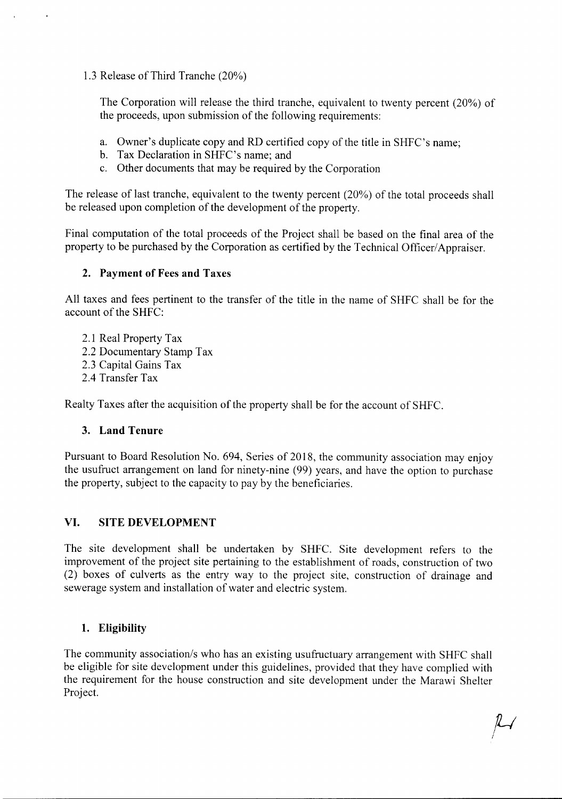1.3 Release of Third Tranche (20%)

 $\overline{\phantom{a}}$ 

The Corporation will release the third tranche, equivalent to twenty percent (20%) of the proceeds, upon submission of the following requirements:

- a. Owner's duplicate copy and RD certified copy of the title in SHFC's name;
- b. Tax Declaration in SHFC's name; and
- c. Other documents that may be required by the Corporation

The release of last tranche, equivalent to the twenty percent (20%) of the total proceeds shall be released upon completion of the development of the property.

Final computation of the total proceeds of the Project shall be based on the final area of the property to be purchased by the Corporation as certified by the Technical Officer/Appraiser.

## **2. Payment of Fees and Taxes**

All taxes and fees pertinent to the transfer of the title in the name of SHFC shall be for the account of the SHFC:

- 2.1 Real Property Tax
- 2.2 Documentary Stamp Tax
- 2.3 Capital Gains Tax
- 2.4 Transfer Tax

Realty Taxes after the acquisition of the property shall be for the account of SHFC.

## **3. Land Tenure**

Pursuant to Board Resolution No. 694, Series of 2018, the community association may enjoy the usufruct arrangement on land for ninety-nine (99) years, and have the option to purchase the property, subject to the capacity to pay by the beneficiaries.

## **VI. SITE DEVELOPMENT**

The site development shall be undertaken by SHFC. Site development refers to the improvement of the project site pertaining to the establishment of roads, construction of two (2) boxes of culverts as the entry way to the project site, construction of drainage and sewerage system and installation of water and electric system.

## **1. Eligibility**

The community association/s who has an existing usufructuary arrangement with SHFC shall be eligible for site development under this guidelines, provided that they have complied with the requirement for the house construction and site development under the Marawi Shelter Project.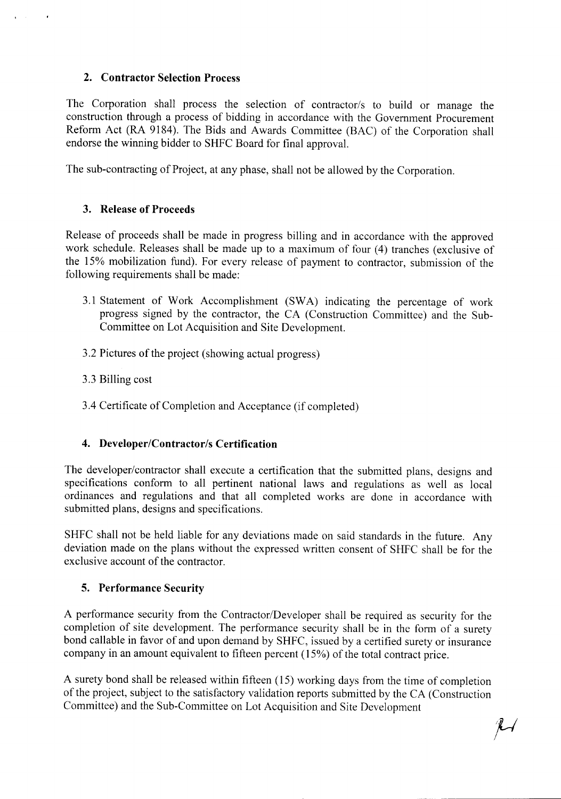### **2. Contractor Selection Process**

 $\mathbf{r} = \mathbf{r} \times \mathbf{r}$ 

 $\sim$ 

The Corporation shall process the selection of contractor/s to build or manage the construction through a process of bidding in accordance with the Government Procurement Reform Act (RA 9184). The Bids and Awards Committee (BAC) of the Corporation shall endorse the winning bidder to SHFC Board for final approval.

The sub-contracting of Project, at any phase, shall not be allowed by the Corporation.

### **3. Release of Proceeds**

Release of proceeds shall be made in progress billing and in accordance with the approved work schedule. Releases shall be made up to a maximum of four (4) tranches (exclusive of the 15% mobilization fund). For every release of payment to contractor, submission of the following requirements shall be made:

- 3.1 Statement of Work Accomplishment (SWA) indicating the percentage of work progress signed by the contractor, the CA (Construction Committee) and the Sub-Committee on Lot Acquisition and Site Development.
- 3.2 Pictures of the project (showing actual progress)
- 3.3 Billing cost
- 3.4 Certificate of Completion and Acceptance (if completed)

### **4. Developer/Contractor/s Certification**

The developer/contractor shall execute a certification that the submitted plans, designs and specifications conform to all pertinent national laws and regulations as well as local ordinances and regulations and that all completed works are done in accordance with submitted plans, designs and specifications.

SHFC shall not be held liable for any deviations made on said standards in the future. Any deviation made on the plans without the expressed written consent of SHFC shall be for the exclusive account of the contractor.

### **5. Performance Security**

A performance security from the Contractor/Developer shall be required as security for the completion of site development. The performance security shall be in the form of a surety bond callable in favor of and upon demand by SHFC, issued by a certified surety or insurance company in an amount equivalent to fifteen percent (15%) of the total contract price.

A surety bond shall be released within fifteen (15) working days from the time of completion of the project, subject to the satisfactory validation reports submitted by the CA (Construction Committee) and the Sub-Committee on Lot Acquisition and Site Development

 $\mathcal{H}$